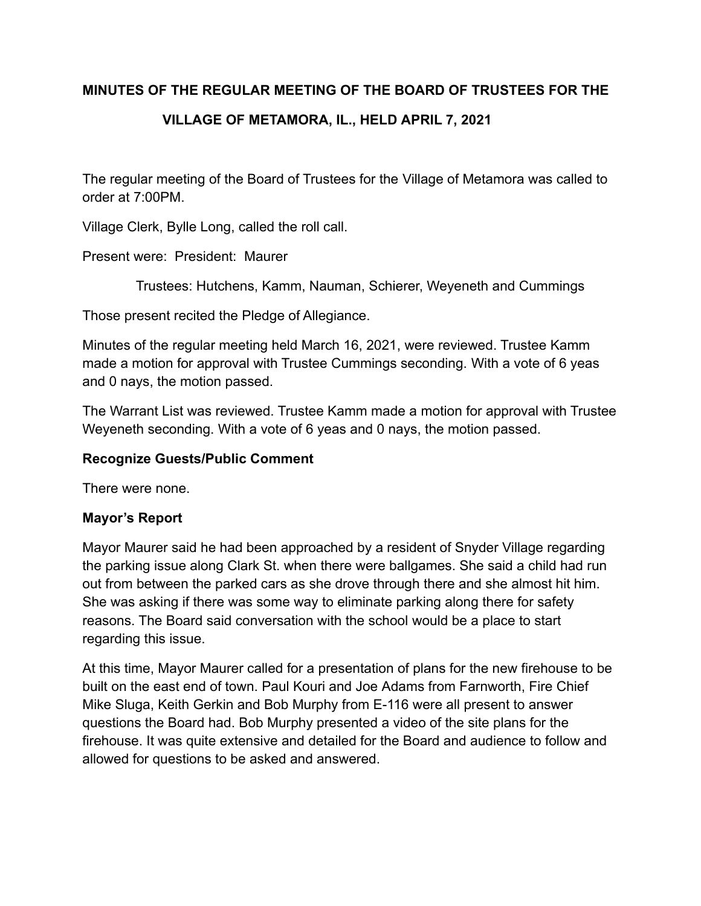#### **MINUTES OF THE REGULAR MEETING OF THE BOARD OF TRUSTEES FOR THE**

# **VILLAGE OF METAMORA, IL., HELD APRIL 7, 2021**

The regular meeting of the Board of Trustees for the Village of Metamora was called to order at 7:00PM.

Village Clerk, Bylle Long, called the roll call.

Present were: President: Maurer

Trustees: Hutchens, Kamm, Nauman, Schierer, Weyeneth and Cummings

Those present recited the Pledge of Allegiance.

Minutes of the regular meeting held March 16, 2021, were reviewed. Trustee Kamm made a motion for approval with Trustee Cummings seconding. With a vote of 6 yeas and 0 nays, the motion passed.

The Warrant List was reviewed. Trustee Kamm made a motion for approval with Trustee Weyeneth seconding. With a vote of 6 yeas and 0 nays, the motion passed.

#### **Recognize Guests/Public Comment**

There were none.

### **Mayor's Report**

Mayor Maurer said he had been approached by a resident of Snyder Village regarding the parking issue along Clark St. when there were ballgames. She said a child had run out from between the parked cars as she drove through there and she almost hit him. She was asking if there was some way to eliminate parking along there for safety reasons. The Board said conversation with the school would be a place to start regarding this issue.

At this time, Mayor Maurer called for a presentation of plans for the new firehouse to be built on the east end of town. Paul Kouri and Joe Adams from Farnworth, Fire Chief Mike Sluga, Keith Gerkin and Bob Murphy from E-116 were all present to answer questions the Board had. Bob Murphy presented a video of the site plans for the firehouse. It was quite extensive and detailed for the Board and audience to follow and allowed for questions to be asked and answered.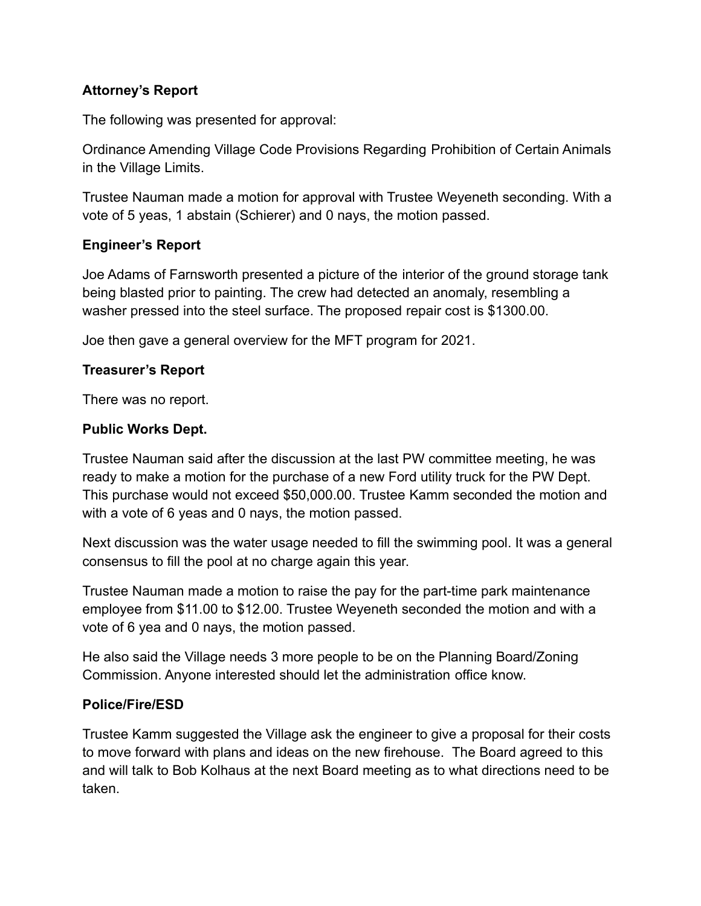### **Attorney's Report**

The following was presented for approval:

Ordinance Amending Village Code Provisions Regarding Prohibition of Certain Animals in the Village Limits.

Trustee Nauman made a motion for approval with Trustee Weyeneth seconding. With a vote of 5 yeas, 1 abstain (Schierer) and 0 nays, the motion passed.

### **Engineer's Report**

Joe Adams of Farnsworth presented a picture of the interior of the ground storage tank being blasted prior to painting. The crew had detected an anomaly, resembling a washer pressed into the steel surface. The proposed repair cost is \$1300.00.

Joe then gave a general overview for the MFT program for 2021.

### **Treasurer's Report**

There was no report.

#### **Public Works Dept.**

Trustee Nauman said after the discussion at the last PW committee meeting, he was ready to make a motion for the purchase of a new Ford utility truck for the PW Dept. This purchase would not exceed \$50,000.00. Trustee Kamm seconded the motion and with a vote of 6 yeas and 0 nays, the motion passed.

Next discussion was the water usage needed to fill the swimming pool. It was a general consensus to fill the pool at no charge again this year.

Trustee Nauman made a motion to raise the pay for the part-time park maintenance employee from \$11.00 to \$12.00. Trustee Weyeneth seconded the motion and with a vote of 6 yea and 0 nays, the motion passed.

He also said the Village needs 3 more people to be on the Planning Board/Zoning Commission. Anyone interested should let the administration office know.

### **Police/Fire/ESD**

Trustee Kamm suggested the Village ask the engineer to give a proposal for their costs to move forward with plans and ideas on the new firehouse. The Board agreed to this and will talk to Bob Kolhaus at the next Board meeting as to what directions need to be taken.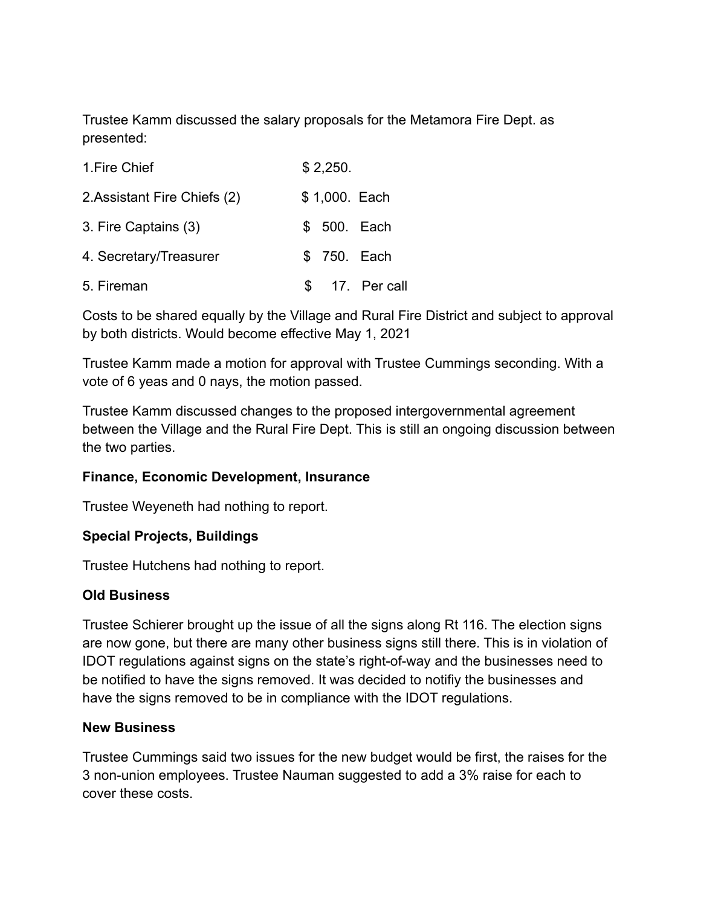Trustee Kamm discussed the salary proposals for the Metamora Fire Dept. as presented:

| 1. Fire Chief                | \$2,250. |               |                 |
|------------------------------|----------|---------------|-----------------|
| 2. Assistant Fire Chiefs (2) |          | \$1,000. Each |                 |
| 3. Fire Captains (3)         |          | \$ 500. Each  |                 |
| 4. Secretary/Treasurer       |          | \$ 750. Each  |                 |
| 5. Fireman                   |          |               | \$ 17. Per call |

Costs to be shared equally by the Village and Rural Fire District and subject to approval by both districts. Would become effective May 1, 2021

Trustee Kamm made a motion for approval with Trustee Cummings seconding. With a vote of 6 yeas and 0 nays, the motion passed.

Trustee Kamm discussed changes to the proposed intergovernmental agreement between the Village and the Rural Fire Dept. This is still an ongoing discussion between the two parties.

### **Finance, Economic Development, Insurance**

Trustee Weyeneth had nothing to report.

#### **Special Projects, Buildings**

Trustee Hutchens had nothing to report.

#### **Old Business**

Trustee Schierer brought up the issue of all the signs along Rt 116. The election signs are now gone, but there are many other business signs still there. This is in violation of IDOT regulations against signs on the state's right-of-way and the businesses need to be notified to have the signs removed. It was decided to notifiy the businesses and have the signs removed to be in compliance with the IDOT regulations.

#### **New Business**

Trustee Cummings said two issues for the new budget would be first, the raises for the 3 non-union employees. Trustee Nauman suggested to add a 3% raise for each to cover these costs.